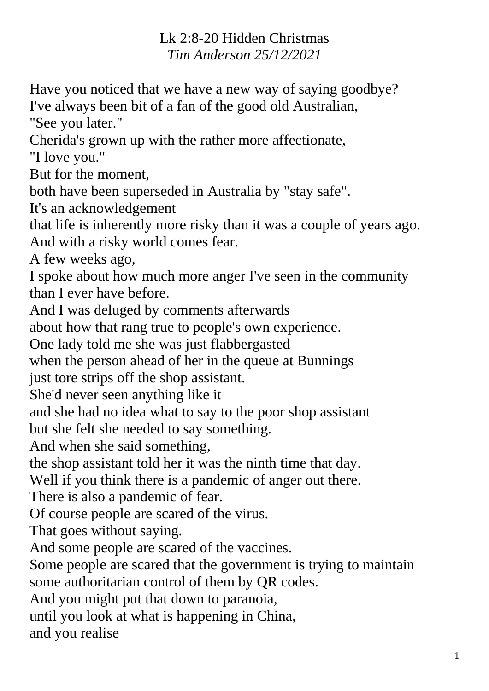## Lk 2:8-20 Hidden Christmas *Tim Anderson 25/12/2021*

Have you noticed that we have a new way of saying goodbye? I've always been bit of a fan of the good old Australian,

"See you later."

Cherida's grown up with the rather more affectionate,

"I love you."

But for the moment,

both have been superseded in Australia by "stay safe".

It's an acknowledgement

that life is inherently more risky than it was a couple of years ago. And with a risky world comes fear.

A few weeks ago,

I spoke about how much more anger I've seen in the community than I ever have before.

And I was deluged by comments afterwards

about how that rang true to people's own experience.

One lady told me she was just flabbergasted

when the person ahead of her in the queue at Bunnings

just tore strips off the shop assistant.

She'd never seen anything like it

and she had no idea what to say to the poor shop assistant

but she felt she needed to say something.

And when she said something,

the shop assistant told her it was the ninth time that day.

Well if you think there is a pandemic of anger out there.

There is also a pandemic of fear.

Of course people are scared of the virus.

That goes without saying.

And some people are scared of the vaccines.

Some people are scared that the government is trying to maintain some authoritarian control of them by QR codes.

And you might put that down to paranoia,

until you look at what is happening in China,

and you realise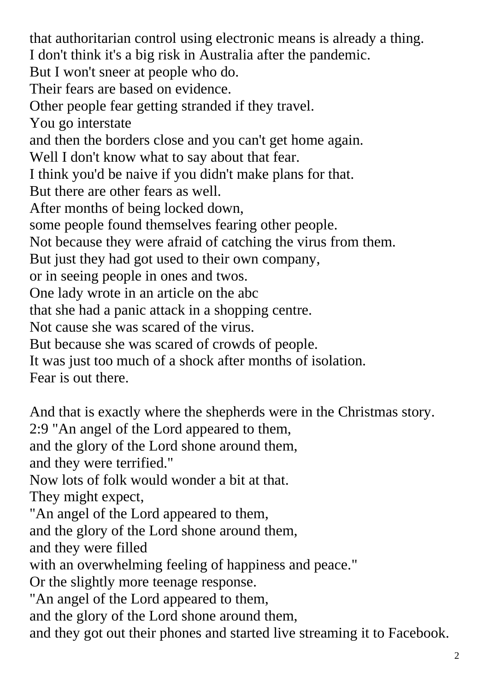that authoritarian control using electronic means is already a thing. I don't think it's a big risk in Australia after the pandemic. But I won't sneer at people who do. Their fears are based on evidence. Other people fear getting stranded if they travel. You go interstate and then the borders close and you can't get home again. Well I don't know what to say about that fear. I think you'd be naive if you didn't make plans for that. But there are other fears as well. After months of being locked down, some people found themselves fearing other people. Not because they were afraid of catching the virus from them. But just they had got used to their own company, or in seeing people in ones and twos. One lady wrote in an article on the abc that she had a panic attack in a shopping centre. Not cause she was scared of the virus. But because she was scared of crowds of people. It was just too much of a shock after months of isolation. Fear is out there. And that is exactly where the shepherds were in the Christmas story. 2:9 "An angel of the Lord appeared to them, and the glory of the Lord shone around them, and they were terrified." Now lots of folk would wonder a bit at that.

They might expect,

"An angel of the Lord appeared to them,

and the glory of the Lord shone around them,

and they were filled

with an overwhelming feeling of happiness and peace."

Or the slightly more teenage response.

"An angel of the Lord appeared to them,

and the glory of the Lord shone around them,

and they got out their phones and started live streaming it to Facebook.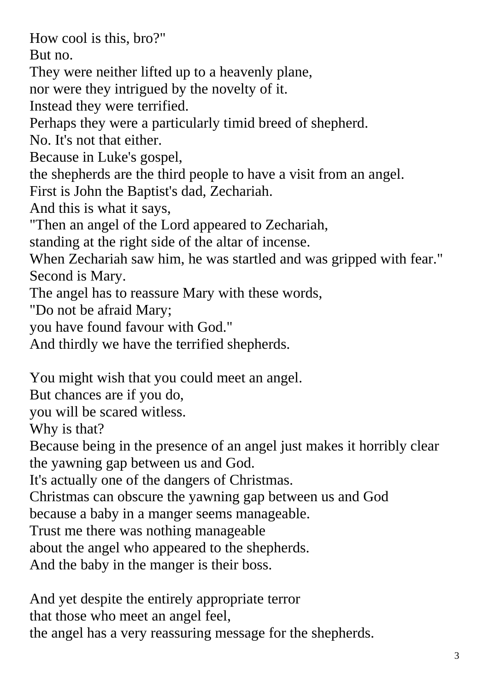How cool is this, bro?"

But no.

They were neither lifted up to a heavenly plane,

nor were they intrigued by the novelty of it.

Instead they were terrified.

Perhaps they were a particularly timid breed of shepherd.

No. It's not that either.

Because in Luke's gospel,

the shepherds are the third people to have a visit from an angel.

First is John the Baptist's dad, Zechariah.

And this is what it says,

"Then an angel of the Lord appeared to Zechariah,

standing at the right side of the altar of incense.

When Zechariah saw him, he was startled and was gripped with fear." Second is Mary.

The angel has to reassure Mary with these words,

"Do not be afraid Mary;

you have found favour with God."

And thirdly we have the terrified shepherds.

You might wish that you could meet an angel.

But chances are if you do,

you will be scared witless.

Why is that?

Because being in the presence of an angel just makes it horribly clear the yawning gap between us and God.

It's actually one of the dangers of Christmas.

Christmas can obscure the yawning gap between us and God

because a baby in a manger seems manageable.

Trust me there was nothing manageable

about the angel who appeared to the shepherds.

And the baby in the manger is their boss.

And yet despite the entirely appropriate terror

that those who meet an angel feel,

the angel has a very reassuring message for the shepherds.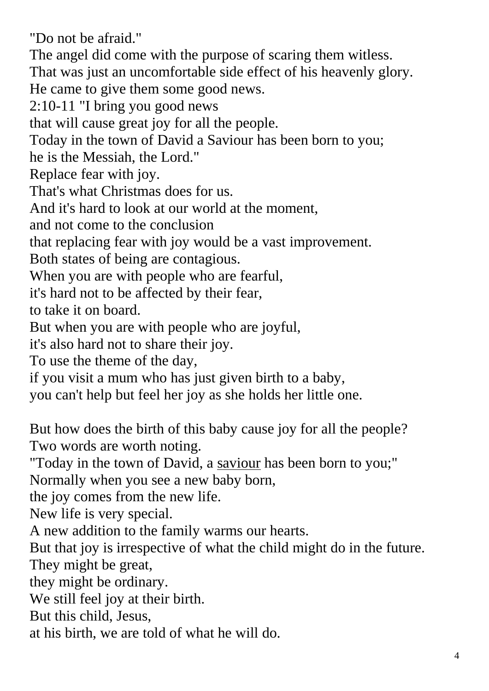"Do not be afraid." The angel did come with the purpose of scaring them witless. That was just an uncomfortable side effect of his heavenly glory. He came to give them some good news. 2:10-11 "I bring you good news that will cause great joy for all the people. Today in the town of David a Saviour has been born to you; he is the Messiah, the Lord." Replace fear with joy. That's what Christmas does for us. And it's hard to look at our world at the moment, and not come to the conclusion that replacing fear with joy would be a vast improvement. Both states of being are contagious. When you are with people who are fearful, it's hard not to be affected by their fear, to take it on board. But when you are with people who are joyful, it's also hard not to share their joy. To use the theme of the day, if you visit a mum who has just given birth to a baby, you can't help but feel her joy as she holds her little one. But how does the birth of this baby cause joy for all the people? Two words are worth noting. "Today in the town of David, a saviour has been born to you;" Normally when you see a new baby born, the joy comes from the new life. New life is very special.

A new addition to the family warms our hearts.

But that joy is irrespective of what the child might do in the future. They might be great,

they might be ordinary.

We still feel joy at their birth.

But this child, Jesus,

at his birth, we are told of what he will do.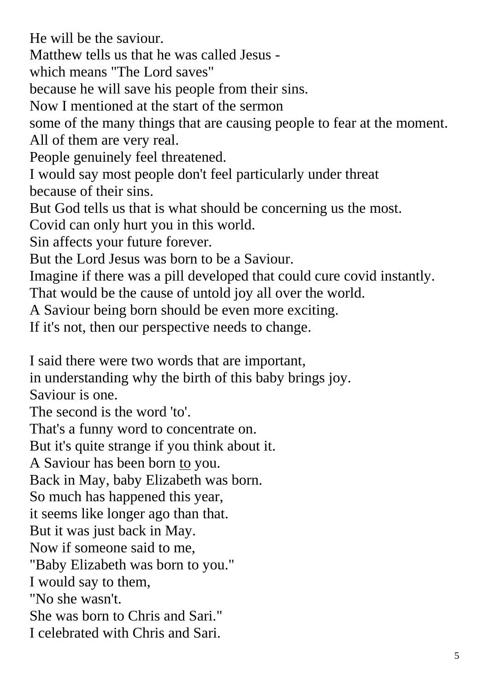He will be the saviour.

Matthew tells us that he was called Jesus -

which means "The Lord saves"

because he will save his people from their sins.

Now I mentioned at the start of the sermon

some of the many things that are causing people to fear at the moment. All of them are very real.

People genuinely feel threatened.

I would say most people don't feel particularly under threat because of their sins.

But God tells us that is what should be concerning us the most.

Covid can only hurt you in this world.

Sin affects your future forever.

But the Lord Jesus was born to be a Saviour.

Imagine if there was a pill developed that could cure covid instantly.

That would be the cause of untold joy all over the world.

A Saviour being born should be even more exciting.

If it's not, then our perspective needs to change.

I said there were two words that are important,

in understanding why the birth of this baby brings joy.

Saviour is one.

The second is the word 'to'.

That's a funny word to concentrate on.

But it's quite strange if you think about it.

A Saviour has been born to you.

Back in May, baby Elizabeth was born.

So much has happened this year,

it seems like longer ago than that.

But it was just back in May.

Now if someone said to me,

"Baby Elizabeth was born to you."

I would say to them,

"No she wasn't.

She was born to Chris and Sari."

I celebrated with Chris and Sari.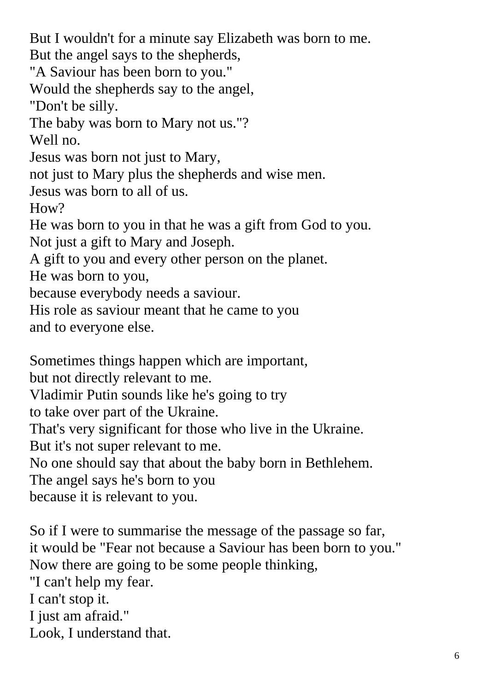But I wouldn't for a minute say Elizabeth was born to me. But the angel says to the shepherds, "A Saviour has been born to you." Would the shepherds say to the angel, "Don't be silly. The baby was born to Mary not us."? Well no. Jesus was born not just to Mary, not just to Mary plus the shepherds and wise men. Jesus was born to all of us. How? He was born to you in that he was a gift from God to you. Not just a gift to Mary and Joseph. A gift to you and every other person on the planet. He was born to you, because everybody needs a saviour. His role as saviour meant that he came to you and to everyone else.

Sometimes things happen which are important,

but not directly relevant to me.

Vladimir Putin sounds like he's going to try

to take over part of the Ukraine.

That's very significant for those who live in the Ukraine.

But it's not super relevant to me.

No one should say that about the baby born in Bethlehem.

The angel says he's born to you

because it is relevant to you.

So if I were to summarise the message of the passage so far, it would be "Fear not because a Saviour has been born to you." Now there are going to be some people thinking, "I can't help my fear. I can't stop it. I just am afraid." Look, I understand that.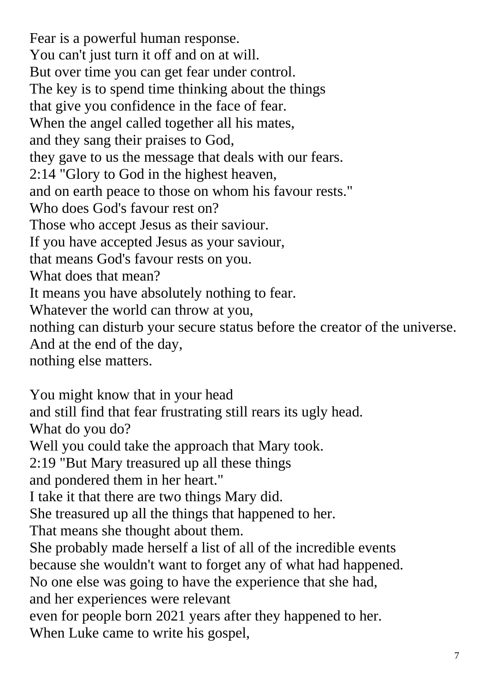Fear is a powerful human response. You can't just turn it off and on at will. But over time you can get fear under control. The key is to spend time thinking about the things that give you confidence in the face of fear. When the angel called together all his mates, and they sang their praises to God, they gave to us the message that deals with our fears. 2:14 "Glory to God in the highest heaven, and on earth peace to those on whom his favour rests." Who does God's favour rest on? Those who accept Jesus as their saviour. If you have accepted Jesus as your saviour, that means God's favour rests on you. What does that mean? It means you have absolutely nothing to fear. Whatever the world can throw at you, nothing can disturb your secure status before the creator of the universe. And at the end of the day, nothing else matters.

You might know that in your head and still find that fear frustrating still rears its ugly head. What do you do? Well you could take the approach that Mary took. 2:19 "But Mary treasured up all these things and pondered them in her heart." I take it that there are two things Mary did. She treasured up all the things that happened to her. That means she thought about them. She probably made herself a list of all of the incredible events because she wouldn't want to forget any of what had happened. No one else was going to have the experience that she had, and her experiences were relevant even for people born 2021 years after they happened to her.

When Luke came to write his gospel,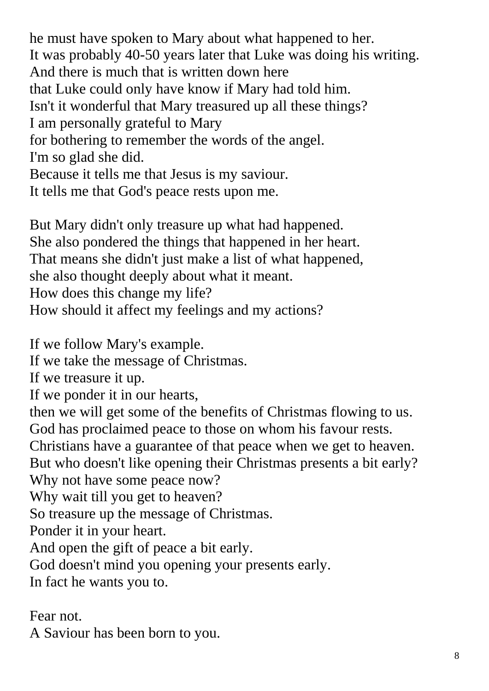he must have spoken to Mary about what happened to her. It was probably 40-50 years later that Luke was doing his writing. And there is much that is written down here that Luke could only have know if Mary had told him. Isn't it wonderful that Mary treasured up all these things? I am personally grateful to Mary for bothering to remember the words of the angel. I'm so glad she did. Because it tells me that Jesus is my saviour. It tells me that God's peace rests upon me.

But Mary didn't only treasure up what had happened. She also pondered the things that happened in her heart. That means she didn't just make a list of what happened, she also thought deeply about what it meant. How does this change my life? How should it affect my feelings and my actions?

If we follow Mary's example.

If we take the message of Christmas.

If we treasure it up.

If we ponder it in our hearts,

then we will get some of the benefits of Christmas flowing to us. God has proclaimed peace to those on whom his favour rests.

Christians have a guarantee of that peace when we get to heaven.

But who doesn't like opening their Christmas presents a bit early? Why not have some peace now?

Why wait till you get to heaven?

So treasure up the message of Christmas.

Ponder it in your heart.

And open the gift of peace a bit early.

God doesn't mind you opening your presents early.

In fact he wants you to.

## Fear not.

A Saviour has been born to you.